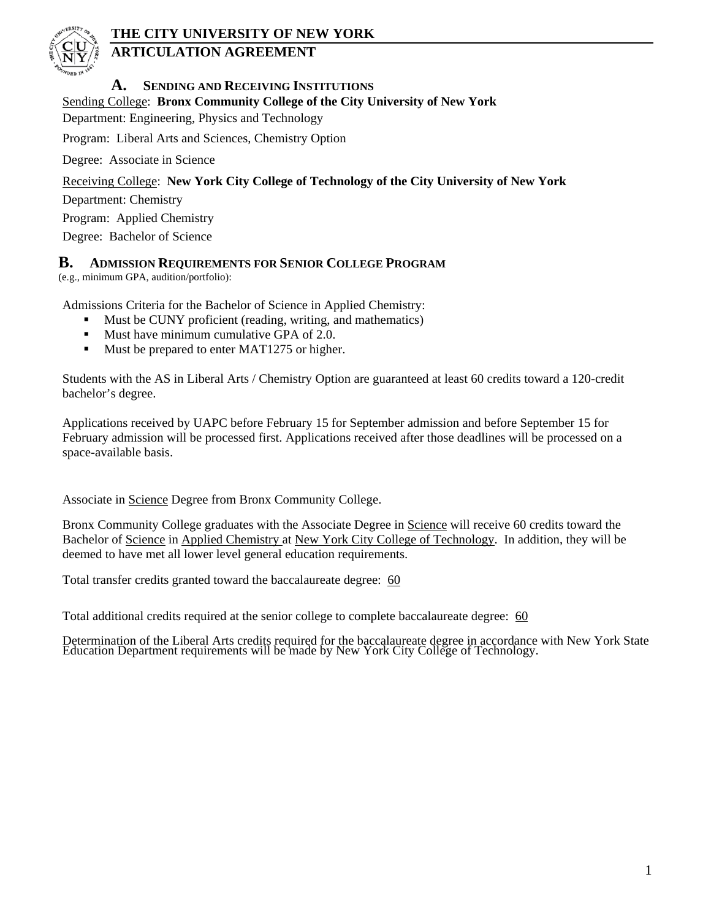

# **THE CITY UNIVERSITY OF NEW YORK**

# **ARTICULATION AGREEMENT**

## **A. SENDING AND RECEIVING INSTITUTIONS**

### Sending College: **Bronx Community College of the City University of New York**

Department: Engineering, Physics and Technology

Program: Liberal Arts and Sciences, Chemistry Option

Degree: Associate in Science

### Receiving College: **New York City College of Technology of the City University of New York**

Department: Chemistry

Program: Applied Chemistry

Degree: Bachelor of Science

### **B. ADMISSION REQUIREMENTS FOR SENIOR COLLEGE PROGRAM**

(e.g., minimum GPA, audition/portfolio):

Admissions Criteria for the Bachelor of Science in Applied Chemistry:

- Must be CUNY proficient (reading, writing, and mathematics)
- Must have minimum cumulative GPA of 2.0.
- Must be prepared to enter MAT1275 or higher.

Students with the AS in Liberal Arts / Chemistry Option are guaranteed at least 60 credits toward a 120-credit bachelor's degree.

Applications received by UAPC before February 15 for September admission and before September 15 for February admission will be processed first. Applications received after those deadlines will be processed on a space-available basis.

Associate in Science Degree from Bronx Community College.

Bronx Community College graduates with the Associate Degree in Science will receive 60 credits toward the Bachelor of Science in Applied Chemistry at New York City College of Technology. In addition, they will be deemed to have met all lower level general education requirements.

Total transfer credits granted toward the baccalaureate degree: 60

Total additional credits required at the senior college to complete baccalaureate degree: 60

Determination of the Liberal Arts credits required for the baccalaureate degree in accordance with New York State Education Department requirements will be made by New York City College of Technology.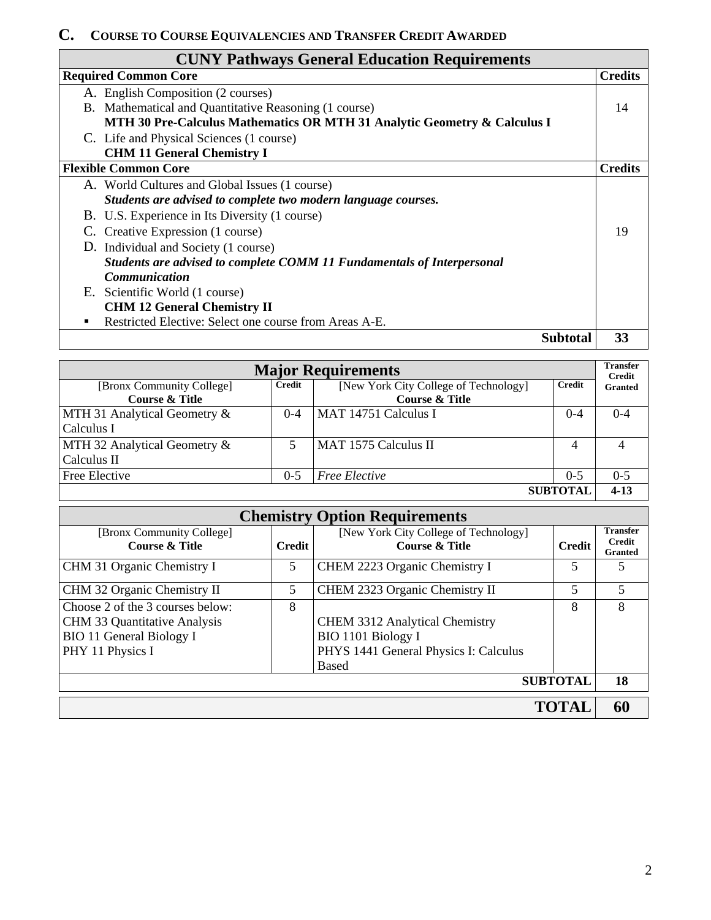## **C. COURSE TO COURSE EQUIVALENCIES AND TRANSFER CREDIT AWARDED**

| <b>COURSE TO COURSE EQUIVALENCIES AND TRANSFER CREDIT AWARDED</b>        |                |
|--------------------------------------------------------------------------|----------------|
| <b>CUNY Pathways General Education Requirements</b>                      |                |
| <b>Required Common Core</b>                                              | <b>Credits</b> |
| A. English Composition (2 courses)                                       |                |
| B. Mathematical and Quantitative Reasoning (1 course)                    | 14             |
| MTH 30 Pre-Calculus Mathematics OR MTH 31 Analytic Geometry & Calculus I |                |
| C. Life and Physical Sciences (1 course)                                 |                |
| <b>CHM 11 General Chemistry I</b>                                        |                |
| <b>Flexible Common Core</b>                                              | <b>Credits</b> |
| A. World Cultures and Global Issues (1 course)                           |                |
| Students are advised to complete two modern language courses.            |                |
| B. U.S. Experience in Its Diversity (1 course)                           |                |
| C. Creative Expression (1 course)                                        | 19             |
| D. Individual and Society (1 course)                                     |                |
| Students are advised to complete COMM 11 Fundamentals of Interpersonal   |                |
| <b>Communication</b>                                                     |                |
| E. Scientific World (1 course)                                           |                |
| <b>CHM 12 General Chemistry II</b>                                       |                |
| Restricted Elective: Select one course from Areas A-E.                   |                |

**Subtotal 33**

| <b>Major Requirements</b>    |         |                                       |         |                                 |
|------------------------------|---------|---------------------------------------|---------|---------------------------------|
| [Bronx Community College]    | Credit  | [New York City College of Technology] | Credit  | <b>Credit</b><br><b>Granted</b> |
| <b>Course &amp; Title</b>    |         | <b>Course &amp; Title</b>             |         |                                 |
| MTH 31 Analytical Geometry & | $0 - 4$ | MAT 14751 Calculus I                  | $0 - 4$ | $0 - 4$                         |
| Calculus I                   |         |                                       |         |                                 |
| MTH 32 Analytical Geometry & |         | MAT 1575 Calculus II                  | 4       |                                 |
| Calculus II                  |         |                                       |         |                                 |
| Free Elective                | $0 - 5$ | <b>Free Elective</b>                  | $0 - 5$ | $0 - 5$                         |
| <b>SUBTOTAL</b>              |         |                                       |         | $4 - 13$                        |

| <b>Chemistry Option Requirements</b>                   |               |                                                                    |               |                                  |  |  |
|--------------------------------------------------------|---------------|--------------------------------------------------------------------|---------------|----------------------------------|--|--|
| [Bronx Community College]<br><b>Course &amp; Title</b> | <b>Credit</b> | [New York City College of Technology]<br><b>Course &amp; Title</b> | <b>Credit</b> | <b>Transfer</b><br><b>Credit</b> |  |  |
|                                                        |               |                                                                    |               | <b>Granted</b>                   |  |  |
| CHM 31 Organic Chemistry I                             | 5             | CHEM 2223 Organic Chemistry I                                      | 5             | 5                                |  |  |
| CHM 32 Organic Chemistry II                            | 5             | CHEM 2323 Organic Chemistry II                                     | 5             | 5                                |  |  |
| Choose 2 of the 3 courses below:                       | 8             |                                                                    | 8             | 8                                |  |  |
| CHM 33 Quantitative Analysis                           |               | <b>CHEM 3312 Analytical Chemistry</b>                              |               |                                  |  |  |
| <b>BIO 11 General Biology I</b>                        |               | BIO 1101 Biology I                                                 |               |                                  |  |  |
| PHY 11 Physics I                                       |               | PHYS 1441 General Physics I: Calculus                              |               |                                  |  |  |
|                                                        |               | <b>Based</b>                                                       |               |                                  |  |  |
| <b>SUBTOTAL</b>                                        |               |                                                                    |               |                                  |  |  |
|                                                        |               |                                                                    |               |                                  |  |  |
|                                                        |               |                                                                    | <b>TOTAL</b>  | 60                               |  |  |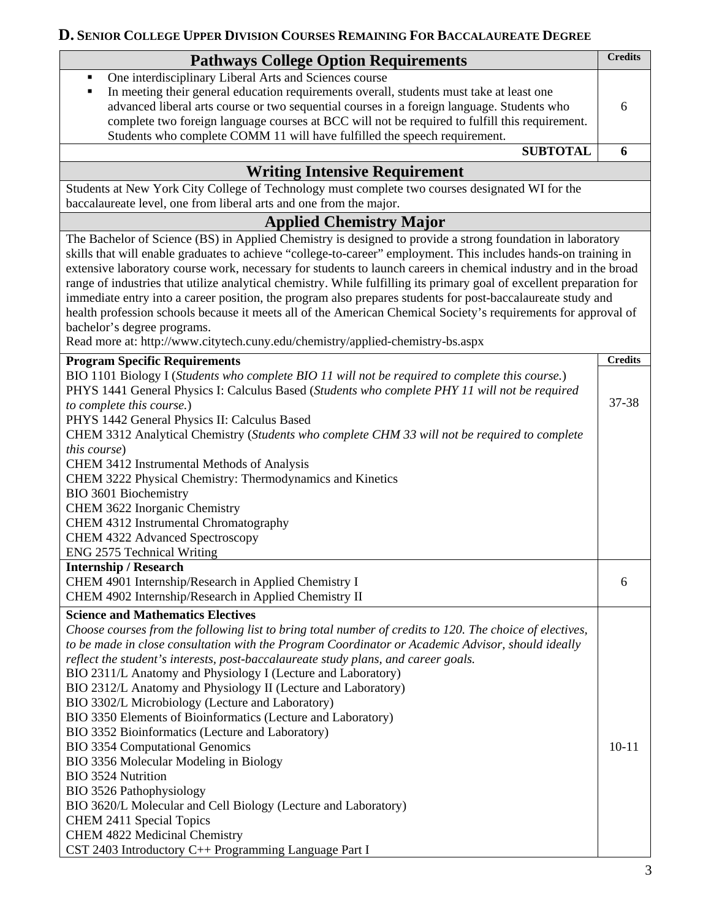# **D. SENIOR COLLEGE UPPER DIVISION COURSES REMAINING FOR BACCALAUREATE DEGREE**

| <b>Pathways College Option Requirements</b>                                                                           | <b>Credits</b> |
|-----------------------------------------------------------------------------------------------------------------------|----------------|
| One interdisciplinary Liberal Arts and Sciences course<br>٠                                                           |                |
| In meeting their general education requirements overall, students must take at least one<br>٠                         |                |
| advanced liberal arts course or two sequential courses in a foreign language. Students who                            | 6              |
| complete two foreign language courses at BCC will not be required to fulfill this requirement.                        |                |
| Students who complete COMM 11 will have fulfilled the speech requirement.                                             |                |
| <b>SUBTOTAL</b>                                                                                                       | 6              |
| <b>Writing Intensive Requirement</b>                                                                                  |                |
| Students at New York City College of Technology must complete two courses designated WI for the                       |                |
| baccalaureate level, one from liberal arts and one from the major.                                                    |                |
| <b>Applied Chemistry Major</b>                                                                                        |                |
| The Bachelor of Science (BS) in Applied Chemistry is designed to provide a strong foundation in laboratory            |                |
| skills that will enable graduates to achieve "college-to-career" employment. This includes hands-on training in       |                |
| extensive laboratory course work, necessary for students to launch careers in chemical industry and in the broad      |                |
| range of industries that utilize analytical chemistry. While fulfilling its primary goal of excellent preparation for |                |
| immediate entry into a career position, the program also prepares students for post-baccalaureate study and           |                |
| health profession schools because it meets all of the American Chemical Society's requirements for approval of        |                |
| bachelor's degree programs.                                                                                           |                |
| Read more at: http://www.citytech.cuny.edu/chemistry/applied-chemistry-bs.aspx                                        |                |
| <b>Program Specific Requirements</b>                                                                                  | <b>Credits</b> |
| BIO 1101 Biology I (Students who complete BIO 11 will not be required to complete this course.)                       |                |
| PHYS 1441 General Physics I: Calculus Based (Students who complete PHY 11 will not be required                        | 37-38          |
| to complete this course.)                                                                                             |                |
| PHYS 1442 General Physics II: Calculus Based                                                                          |                |
| CHEM 3312 Analytical Chemistry (Students who complete CHM 33 will not be required to complete<br>this course)         |                |
| CHEM 3412 Instrumental Methods of Analysis                                                                            |                |
| CHEM 3222 Physical Chemistry: Thermodynamics and Kinetics                                                             |                |
| BIO 3601 Biochemistry                                                                                                 |                |
| CHEM 3622 Inorganic Chemistry                                                                                         |                |
| CHEM 4312 Instrumental Chromatography                                                                                 |                |
| CHEM 4322 Advanced Spectroscopy                                                                                       |                |
| ENG 2575 Technical Writing                                                                                            |                |
| <b>Internship / Research</b>                                                                                          |                |
| CHEM 4901 Internship/Research in Applied Chemistry I                                                                  | 6              |
| CHEM 4902 Internship/Research in Applied Chemistry II                                                                 |                |
| <b>Science and Mathematics Electives</b>                                                                              |                |
| Choose courses from the following list to bring total number of credits to 120. The choice of electives,              |                |
| to be made in close consultation with the Program Coordinator or Academic Advisor, should ideally                     |                |
| reflect the student's interests, post-baccalaureate study plans, and career goals.                                    |                |
| BIO 2311/L Anatomy and Physiology I (Lecture and Laboratory)                                                          |                |
| BIO 2312/L Anatomy and Physiology II (Lecture and Laboratory)                                                         |                |
| BIO 3302/L Microbiology (Lecture and Laboratory)                                                                      |                |
| BIO 3350 Elements of Bioinformatics (Lecture and Laboratory)                                                          |                |
| BIO 3352 Bioinformatics (Lecture and Laboratory)<br><b>BIO 3354 Computational Genomics</b>                            | $10 - 11$      |
| BIO 3356 Molecular Modeling in Biology                                                                                |                |
| <b>BIO 3524 Nutrition</b>                                                                                             |                |
| BIO 3526 Pathophysiology                                                                                              |                |
| BIO 3620/L Molecular and Cell Biology (Lecture and Laboratory)                                                        |                |
| CHEM 2411 Special Topics                                                                                              |                |
| <b>CHEM 4822 Medicinal Chemistry</b>                                                                                  |                |
| CST 2403 Introductory C++ Programming Language Part I                                                                 |                |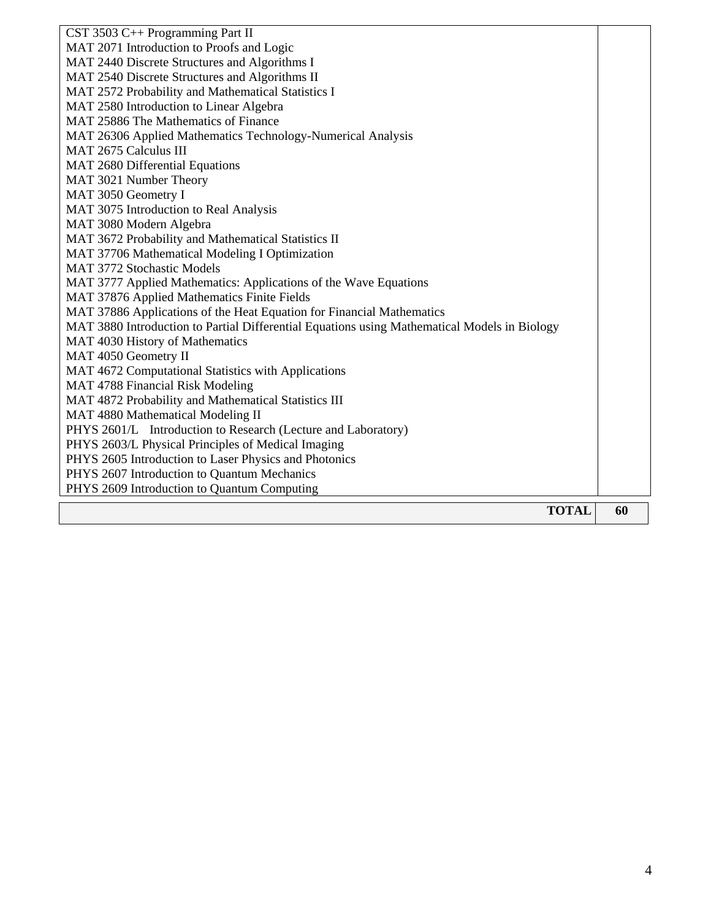| CST 3503 C++ Programming Part II                                                             |    |
|----------------------------------------------------------------------------------------------|----|
| MAT 2071 Introduction to Proofs and Logic                                                    |    |
| MAT 2440 Discrete Structures and Algorithms I                                                |    |
| MAT 2540 Discrete Structures and Algorithms II                                               |    |
| MAT 2572 Probability and Mathematical Statistics I                                           |    |
| MAT 2580 Introduction to Linear Algebra                                                      |    |
| MAT 25886 The Mathematics of Finance                                                         |    |
| MAT 26306 Applied Mathematics Technology-Numerical Analysis                                  |    |
| MAT 2675 Calculus III                                                                        |    |
| MAT 2680 Differential Equations                                                              |    |
| MAT 3021 Number Theory                                                                       |    |
| MAT 3050 Geometry I                                                                          |    |
| MAT 3075 Introduction to Real Analysis                                                       |    |
| MAT 3080 Modern Algebra                                                                      |    |
| MAT 3672 Probability and Mathematical Statistics II                                          |    |
| MAT 37706 Mathematical Modeling I Optimization                                               |    |
| MAT 3772 Stochastic Models                                                                   |    |
| MAT 3777 Applied Mathematics: Applications of the Wave Equations                             |    |
| MAT 37876 Applied Mathematics Finite Fields                                                  |    |
| MAT 37886 Applications of the Heat Equation for Financial Mathematics                        |    |
| MAT 3880 Introduction to Partial Differential Equations using Mathematical Models in Biology |    |
| MAT 4030 History of Mathematics                                                              |    |
| MAT 4050 Geometry II                                                                         |    |
| MAT 4672 Computational Statistics with Applications                                          |    |
| MAT 4788 Financial Risk Modeling                                                             |    |
| MAT 4872 Probability and Mathematical Statistics III                                         |    |
| MAT 4880 Mathematical Modeling II                                                            |    |
| PHYS 2601/L Introduction to Research (Lecture and Laboratory)                                |    |
| PHYS 2603/L Physical Principles of Medical Imaging                                           |    |
| PHYS 2605 Introduction to Laser Physics and Photonics                                        |    |
| PHYS 2607 Introduction to Quantum Mechanics                                                  |    |
| PHYS 2609 Introduction to Quantum Computing                                                  |    |
|                                                                                              |    |
| <b>TOTAL</b>                                                                                 | 60 |